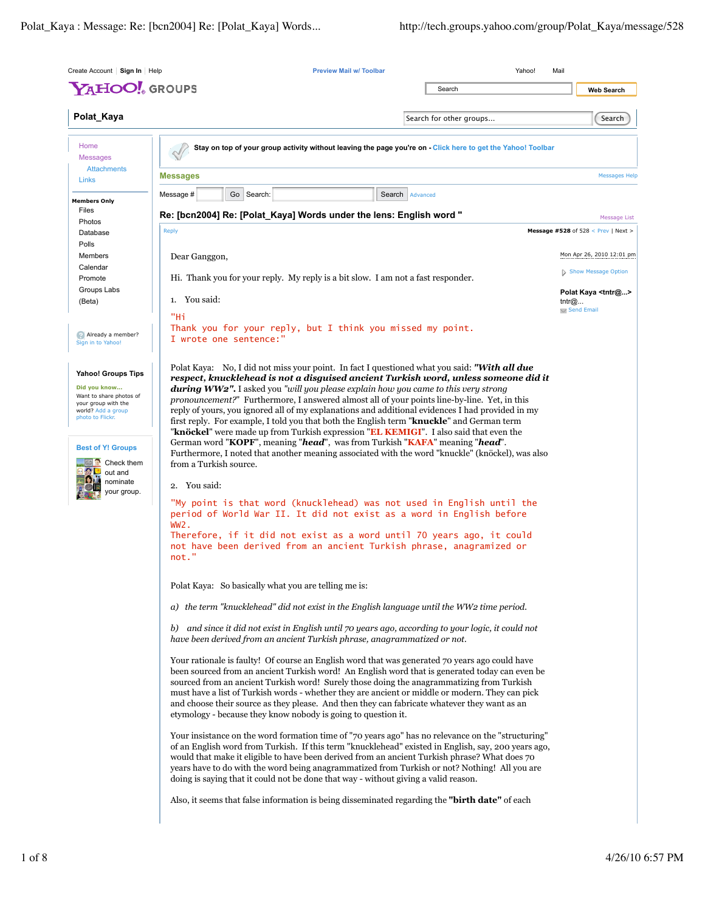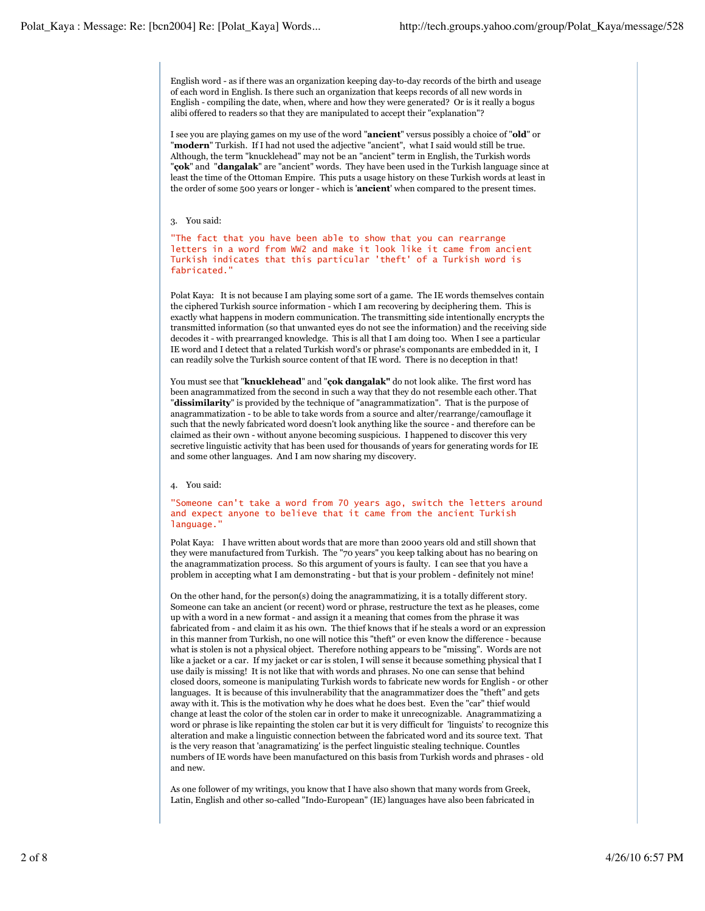English word - as if there was an organization keeping day-to-day records of the birth and useage of each word in English. Is there such an organization that keeps records of all new words in English - compiling the date, when, where and how they were generated? Or is it really a bogus alibi offered to readers so that they are manipulated to accept their "explanation"?

I see you are playing games on my use of the word "**ancient**" versus possibly a choice of "**old**" or "**modern**" Turkish. If I had not used the adjective "ancient", what I said would still be true. Although, the term "knucklehead" may not be an "ancient" term in English, the Turkish words "**çok**" and "**dangalak**" are "ancient" words. They have been used in the Turkish language since at least the time of the Ottoman Empire. This puts a usage history on these Turkish words at least in the order of some 500 years or longer - which is '**ancient**' when compared to the present times.

## 3. You said:

"The fact that you have been able to show that you can rearrange letters in a word from WW2 and make it look like it came from ancient Turkish indicates that this particular 'theft' of a Turkish word is fabricated."

Polat Kaya: It is not because I am playing some sort of a game. The IE words themselves contain the ciphered Turkish source information - which I am recovering by deciphering them. This is exactly what happens in modern communication. The transmitting side intentionally encrypts the transmitted information (so that unwanted eyes do not see the information) and the receiving side decodes it - with prearranged knowledge. This is all that I am doing too. When I see a particular IE word and I detect that a related Turkish word's or phrase's componants are embedded in it, I can readily solve the Turkish source content of that IE word. There is no deception in that!

You must see that "**knucklehead**" and "**çok dangalak"** do not look alike. The first word has been anagrammatized from the second in such a way that they do not resemble each other. That "**dissimilarity**" is provided by the technique of "anagrammatization". That is the purpose of anagrammatization - to be able to take words from a source and alter/rearrange/camouflage it such that the newly fabricated word doesn't look anything like the source - and therefore can be claimed as their own - without anyone becoming suspicious. I happened to discover this very secretive linguistic activity that has been used for thousands of years for generating words for IE and some other languages. And I am now sharing my discovery.

## 4. You said:

"Someone can't take a word from 70 years ago, switch the letters around and expect anyone to believe that it came from the ancient Turkish language."

Polat Kaya: I have written about words that are more than 2000 years old and still shown that they were manufactured from Turkish. The "70 years" you keep talking about has no bearing on the anagrammatization process. So this argument of yours is faulty. I can see that you have a problem in accepting what I am demonstrating - but that is your problem - definitely not mine!

On the other hand, for the person(s) doing the anagrammatizing, it is a totally different story. Someone can take an ancient (or recent) word or phrase, restructure the text as he pleases, come up with a word in a new format - and assign it a meaning that comes from the phrase it was fabricated from - and claim it as his own. The thief knows that if he steals a word or an expression in this manner from Turkish, no one will notice this "theft" or even know the difference - because what is stolen is not a physical object. Therefore nothing appears to be "missing". Words are not like a jacket or a car. If my jacket or car is stolen, I will sense it because something physical that I use daily is missing! It is not like that with words and phrases. No one can sense that behind closed doors, someone is manipulating Turkish words to fabricate new words for English - or other languages. It is because of this invulnerability that the anagrammatizer does the "theft" and gets away with it. This is the motivation why he does what he does best. Even the "car" thief would change at least the color of the stolen car in order to make it unrecognizable. Anagrammatizing a word or phrase is like repainting the stolen car but it is very difficult for 'linguists' to recognize this alteration and make a linguistic connection between the fabricated word and its source text. That is the very reason that 'anagramatizing' is the perfect linguistic stealing technique. Countles numbers of IE words have been manufactured on this basis from Turkish words and phrases - old and new.

As one follower of my writings, you know that I have also shown that many words from Greek, Latin, English and other so-called "Indo-European" (IE) languages have also been fabricated in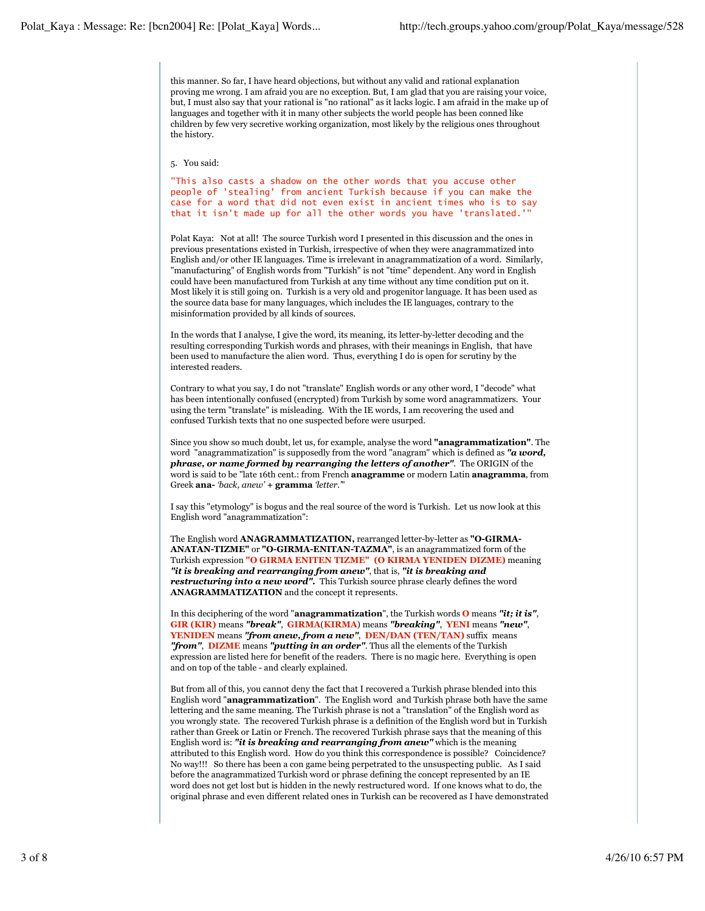this manner. So far, I have heard objections, but without any valid and rational explanation proving me wrong. I am afraid you are no exception. But, I am glad that you are raising your voice, but, I must also say that your rational is "no rational" as it lacks logic. I am afraid in the make up of languages and together with it in many other subjects the world people has been conned like children by few very secretive working organization, most likely by the religious ones throughout the history.

5. You said:

"This also casts a shadow on the other words that you accuse other people of 'stealing' from ancient Turkish because if you can make the case for a word that did not even exist in ancient times who is to say that it isn't made up for all the other words you have 'translated.'"

Polat Kaya: Not at all! The source Turkish word I presented in this discussion and the ones in previous presentations existed in Turkish, irrespective of when they were anagrammatized into English and/or other IE languages. Time is irrelevant in anagrammatization of a word. Similarly, "manufacturing" of English words from "Turkish" is not "time" dependent. Any word in English could have been manufactured from Turkish at any time without any time condition put on it. Most likely it is still going on. Turkish is a very old and progenitor language. It has been used as the source data base for many languages, which includes the IE languages, contrary to the misinformation provided by all kinds of sources.

In the words that I analyse, I give the word, its meaning, its letter-by-letter decoding and the resulting corresponding Turkish words and phrases, with their meanings in English, that have been used to manufacture the alien word. Thus, everything I do is open for scrutiny by the interested readers.

Contrary to what you say, I do not "translate" English words or any other word, I "decode" what has been intentionally confused (encrypted) from Turkish by some word anagrammatizers. Your using the term "translate" is misleading. With the IE words, I am recovering the used and confused Turkish texts that no one suspected before were usurped.

Since you show so much doubt, let us, for example, analyse the word **"anagrammatization"**. The word "anagrammatization" is supposedly from the word "anagram" which is defined as *"a word, phrase, or name formed by rearranging the letters of another"*. The ORIGIN of the word is said to be "late 16th cent.: from French **anagramme** or modern Latin **anagramma**, from Greek **ana-** *'back, anew'* **+ gramma** *'letter.'*"

I say this "etymology" is bogus and the real source of the word is Turkish. Let us now look at this English word "anagrammatization":

The English word **ANAGRAMMATIZATION,** rearranged letter-by-letter as **"O-GIRMA-ANATAN-TIZME"** or **"O-GIRMA-ENITAN-TAZMA"**, is an anagrammatized form of the Turkish expression **"O GIRMA ENITEN TIZME" (O KIRMA YENIDEN DIZME)** meaning *"it is breaking and rearranging from anew"*, that is, *"it is breaking and restructuring into a new word".* This Turkish source phrase clearly defines the word **ANAGRAMMATIZATION** and the concept it represents.

In this deciphering of the word "**anagrammatization**", the Turkish words **O** means *"it; it is"*, **GIR (KIR)** means *"break"*, **GIRMA**(**KIRMA**) means *"breaking"*, **YENI** means *"new"*, **YENIDEN** means *"from anew, from a new"*, **DEN/DAN (TEN/TAN)** suffix means *"from"*, **DIZME** means *"putting in an order"*. Thus all the elements of the Turkish expression are listed here for benefit of the readers. There is no magic here. Everything is open and on top of the table - and clearly explained.

But from all of this, you cannot deny the fact that I recovered a Turkish phrase blended into this English word "**anagrammatization**". The English word and Turkish phrase both have the same lettering and the same meaning. The Turkish phrase is not a "translation" of the English word as you wrongly state. The recovered Turkish phrase is a definition of the English word but in Turkish rather than Greek or Latin or French. The recovered Turkish phrase says that the meaning of this English word is: *"it is breaking and rearranging from anew"* which is the meaning attributed to this English word. How do you think this correspondence is possible? Coincidence? No way!!! So there has been a con game being perpetrated to the unsuspecting public. As I said before the anagrammatized Turkish word or phrase defining the concept represented by an IE word does not get lost but is hidden in the newly restructured word. If one knows what to do, the original phrase and even different related ones in Turkish can be recovered as I have demonstrated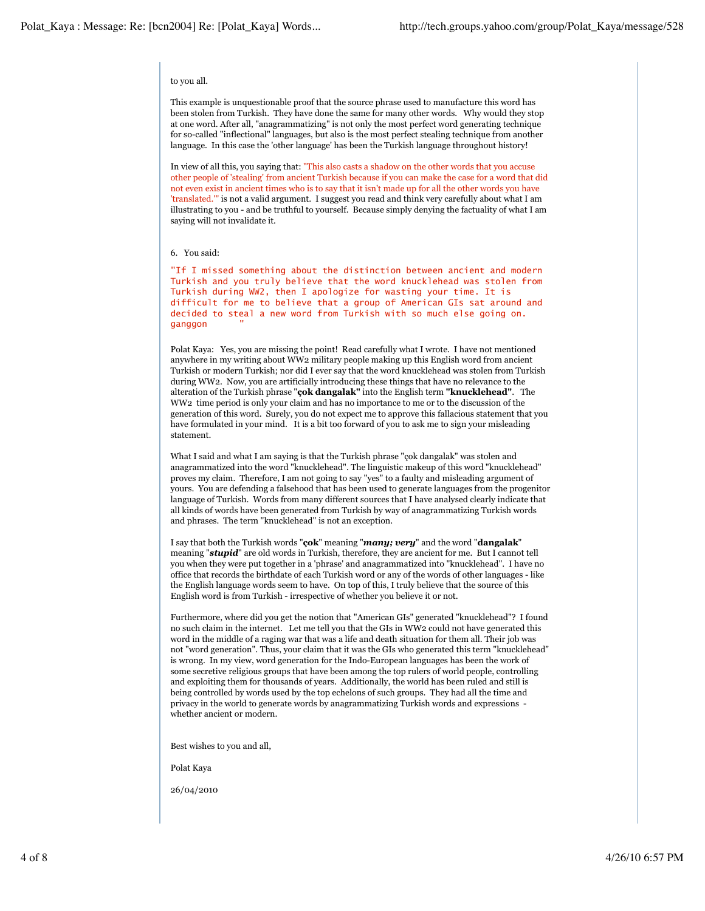## to you all.

This example is unquestionable proof that the source phrase used to manufacture this word has been stolen from Turkish. They have done the same for many other words. Why would they stop at one word. After all, "anagrammatizing" is not only the most perfect word generating technique for so-called "inflectional" languages, but also is the most perfect stealing technique from another language. In this case the 'other language' has been the Turkish language throughout history!

In view of all this, you saying that: "This also casts a shadow on the other words that you accuse other people of 'stealing' from ancient Turkish because if you can make the case for a word that did not even exist in ancient times who is to say that it isn't made up for all the other words you have 'translated.'" is not a valid argument. I suggest you read and think very carefully about what I am illustrating to you - and be truthful to yourself. Because simply denying the factuality of what I am saying will not invalidate it.

## 6. You said:

"If I missed something about the distinction between ancient and modern Turkish and you truly believe that the word knucklehead was stolen from Turkish during WW2, then I apologize for wasting your time. It is difficult for me to believe that a group of American GIs sat around and decided to steal a new word from Turkish with so much else going on. ganggon

Polat Kaya: Yes, you are missing the point! Read carefully what I wrote. I have not mentioned anywhere in my writing about WW2 military people making up this English word from ancient Turkish or modern Turkish; nor did I ever say that the word knucklehead was stolen from Turkish during WW2. Now, you are artificially introducing these things that have no relevance to the alteration of the Turkish phrase "**çok dangalak"** into the English term **"knucklehead"**. The WW2 time period is only your claim and has no importance to me or to the discussion of the generation of this word. Surely, you do not expect me to approve this fallacious statement that you have formulated in your mind. It is a bit too forward of you to ask me to sign your misleading statement.

What I said and what I am saying is that the Turkish phrase "çok dangalak" was stolen and anagrammatized into the word "knucklehead". The linguistic makeup of this word "knucklehead" proves my claim. Therefore, I am not going to say "yes" to a faulty and misleading argument of yours. You are defending a falsehood that has been used to generate languages from the progenitor language of Turkish. Words from many different sources that I have analysed clearly indicate that all kinds of words have been generated from Turkish by way of anagrammatizing Turkish words and phrases. The term "knucklehead" is not an exception.

I say that both the Turkish words "**çok**" meaning "*many; very*" and the word "**dangalak**" meaning "*stupid*" are old words in Turkish, therefore, they are ancient for me. But I cannot tell you when they were put together in a 'phrase' and anagrammatized into "knucklehead". I have no office that records the birthdate of each Turkish word or any of the words of other languages - like the English language words seem to have. On top of this, I truly believe that the source of this English word is from Turkish - irrespective of whether you believe it or not.

Furthermore, where did you get the notion that "American GIs" generated "knucklehead"? I found no such claim in the internet. Let me tell you that the GIs in WW2 could not have generated this word in the middle of a raging war that was a life and death situation for them all. Their job was not "word generation". Thus, your claim that it was the GIs who generated this term "knucklehead" is wrong. In my view, word generation for the Indo-European languages has been the work of some secretive religious groups that have been among the top rulers of world people, controlling and exploiting them for thousands of years. Additionally, the world has been ruled and still is being controlled by words used by the top echelons of such groups. They had all the time and privacy in the world to generate words by anagrammatizing Turkish words and expressions whether ancient or modern.

Best wishes to you and all,

Polat Kaya

26/04/2010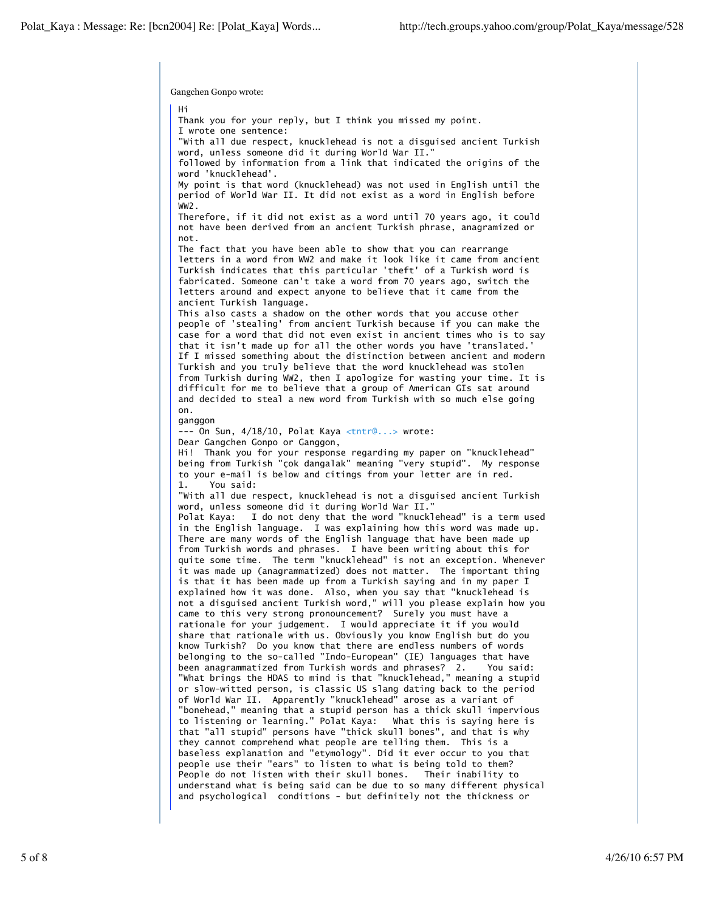Gangchen Gonpo wrote:

Hi Thank you for your reply, but I think you missed my point. I wrote one sentence: "With all due respect, knucklehead is not a disguised ancient Turkish word, unless someone did it during World War II." followed by information from a link that indicated the origins of the word 'knucklehead'. My point is that word (knucklehead) was not used in English until the period of World War II. It did not exist as a word in English before WW2. Therefore, if it did not exist as a word until 70 years ago, it could not have been derived from an ancient Turkish phrase, anagramized or not. The fact that you have been able to show that you can rearrange letters in a word from WW2 and make it look like it came from ancient Turkish indicates that this particular 'theft' of a Turkish word is fabricated. Someone can't take a word from 70 years ago, switch the letters around and expect anyone to believe that it came from the ancient Turkish language. This also casts a shadow on the other words that you accuse other people of 'stealing' from ancient Turkish because if you can make the case for a word that did not even exist in ancient times who is to say that it isn't made up for all the other words you have 'translated.' If I missed something about the distinction between ancient and modern Turkish and you truly believe that the word knucklehead was stolen from Turkish during WW2, then I apologize for wasting your time. It is difficult for me to believe that a group of American GIs sat around and decided to steal a new word from Turkish with so much else going on. ganggon --- On Sun, 4/18/10, Polat Kaya <tntr@...> wrote: Dear Gangchen Gonpo or Ganggon, Hi! Thank you for your response regarding my paper on "knucklehead" being from Turkish "çok dangalak" meaning "very stupid". My response to your e-mail is below and citings from your letter are in red. 1. You said: "With all due respect, knucklehead is not a disguised ancient Turkish word, unless someone did it during World War II." Polat Kaya: I do not deny that the word "knucklehead" is a term used in the English language. I was explaining how this word was made up. There are many words of the English language that have been made up from Turkish words and phrases. I have been writing about this for quite some time. The term "knucklehead" is not an exception. Whenever it was made up (anagrammatized) does not matter. The important thing is that it has been made up from a Turkish saying and in my paper I explained how it was done. Also, when you say that "knucklehead is not a disguised ancient Turkish word," will you please explain how you came to this very strong pronouncement? Surely you must have a rationale for your judgement. I would appreciate it if you would share that rationale with us. Obviously you know English but do you know Turkish? Do you know that there are endless numbers of words belonging to the so-called "Indo-European" (IE) languages that have been anagrammatized from Turkish words and phrases? 2. You said: "What brings the HDAS to mind is that "knucklehead," meaning a stupid or slow-witted person, is classic US slang dating back to the period of World War II. Apparently "knucklehead" arose as a variant of "bonehead," meaning that a stupid person has a thick skull impervious to listening or learning." Polat Kaya: What this is saying here is that "all stupid" persons have "thick skull bones", and that is why they cannot comprehend what people are telling them. This is a baseless explanation and "etymology". Did it ever occur to you that people use their "ears" to listen to what is being told to them? People do not listen with their skull bones. Their inability to understand what is being said can be due to so many different physical and psychological conditions - but definitely not the thickness or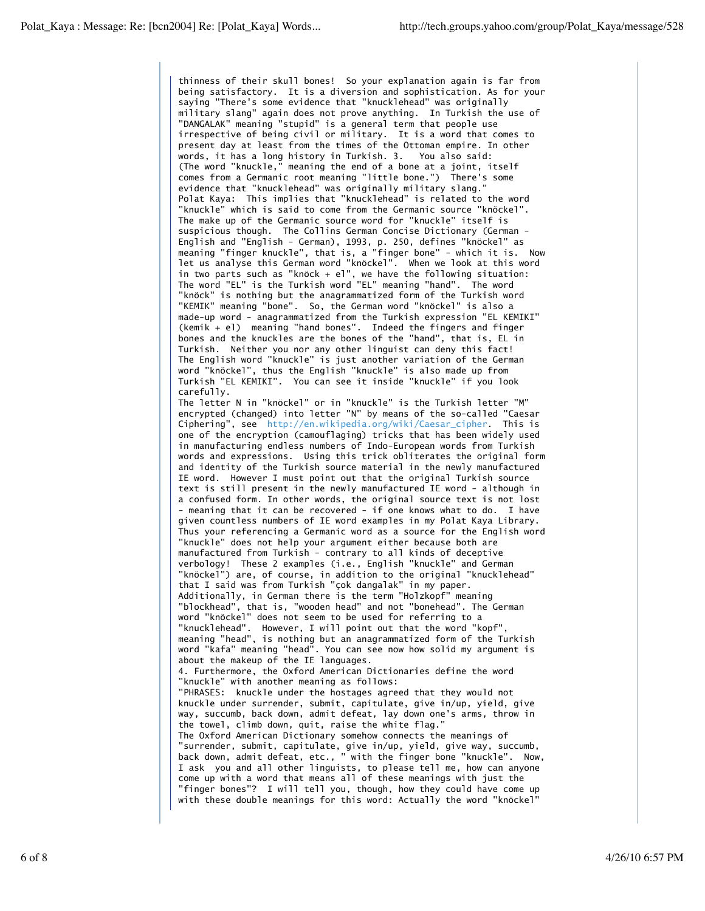thinness of their skull bones! So your explanation again is far from being satisfactory. It is a diversion and sophistication. As for your saying "There's some evidence that "knucklehead" was originally military slang" again does not prove anything. In Turkish the use of "DANGALAK" meaning "stupid" is a general term that people use irrespective of being civil or military. It is a word that comes to present day at least from the times of the Ottoman empire. In other words, it has a long history in Turkish. 3. You also said: (The word "knuckle," meaning the end of a bone at a joint, itself comes from a Germanic root meaning "little bone.") There's some evidence that "knucklehead" was originally military slang." Polat Kaya: This implies that "knucklehead" is related to the word "knuckle" which is said to come from the Germanic source "knöckel". The make up of the Germanic source word for "knuckle" itself is suspicious though. The Collins German Concise Dictionary (German - English and "English - German), 1993, p. 250, defines "knöckel" as meaning "finger knuckle", that is, a "finger bone" - which it is. Now let us analyse this German word "knöckel". When we look at this word in two parts such as "knöck + el", we have the following situation: The word "EL" is the Turkish word "EL" meaning "hand". The word "knöck" is nothing but the anagrammatized form of the Turkish word "KEMIK" meaning "bone". So, the German word "knöckel" is also a made-up word - anagrammatized from the Turkish expression "EL KEMIKI" (kemik + el) meaning "hand bones". Indeed the fingers and finger bones and the knuckles are the bones of the "hand", that is, EL in Turkish. Neither you nor any other linguist can deny this fact! The English word "knuckle" is just another variation of the German word "knöckel", thus the English "knuckle" is also made up from Turkish "EL KEMIKI". You can see it inside "knuckle" if you look carefully. The letter N in "knöckel" or in "knuckle" is the Turkish letter "M" encrypted (changed) into letter "N" by means of the so-called "Caesar Ciphering", see http://en.wikipedia.org/wiki/Caesar\_cipher. This is one of the encryption (camouflaging) tricks that has been widely used in manufacturing endless numbers of Indo-European words from Turkish words and expressions. Using this trick obliterates the original form and identity of the Turkish source material in the newly manufactured IE word. However I must point out that the original Turkish source text is still present in the newly manufactured IE word - although in a confused form. In other words, the original source text is not lost - meaning that it can be recovered - if one knows what to do. I have given countless numbers of IE word examples in my Polat Kaya Library. Thus your referencing a Germanic word as a source for the English word "knuckle" does not help your argument either because both are manufactured from Turkish - contrary to all kinds of deceptive verbology! These 2 examples (i.e., English "knuckle" and German "knöckel") are, of course, in addition to the original "knucklehead" that I said was from Turkish "çok dangalak" in my paper. Additionally, in German there is the term "Holzkopf" meaning "blockhead", that is, "wooden head" and not "bonehead". The German word "knöckel" does not seem to be used for referring to a "knucklehead". However, I will point out that the word "kopf" meaning "head", is nothing but an anagrammatized form of the Turkish word "kafa" meaning "head". You can see now how solid my argument is about the makeup of the IE languages. 4. Furthermore, the Oxford American Dictionaries define the word "knuckle" with another meaning as follows: "PHRASES: knuckle under the hostages agreed that they would not knuckle under surrender, submit, capitulate, give in/up, yield, give way, succumb, back down, admit defeat, lay down one's arms, throw in the towel, climb down, quit, raise the white flag." The Oxford American Dictionary somehow connects the meanings of "surrender, submit, capitulate, give in/up, yield, give way, succumb, back down, admit defeat, etc., " with the finger bone "knuckle". Now, I ask you and all other linguists, to please tell me, how can anyone come up with a word that means all of these meanings with just the "finger bones"? I will tell you, though, how they could have come up with these double meanings for this word: Actually the word "knöckel"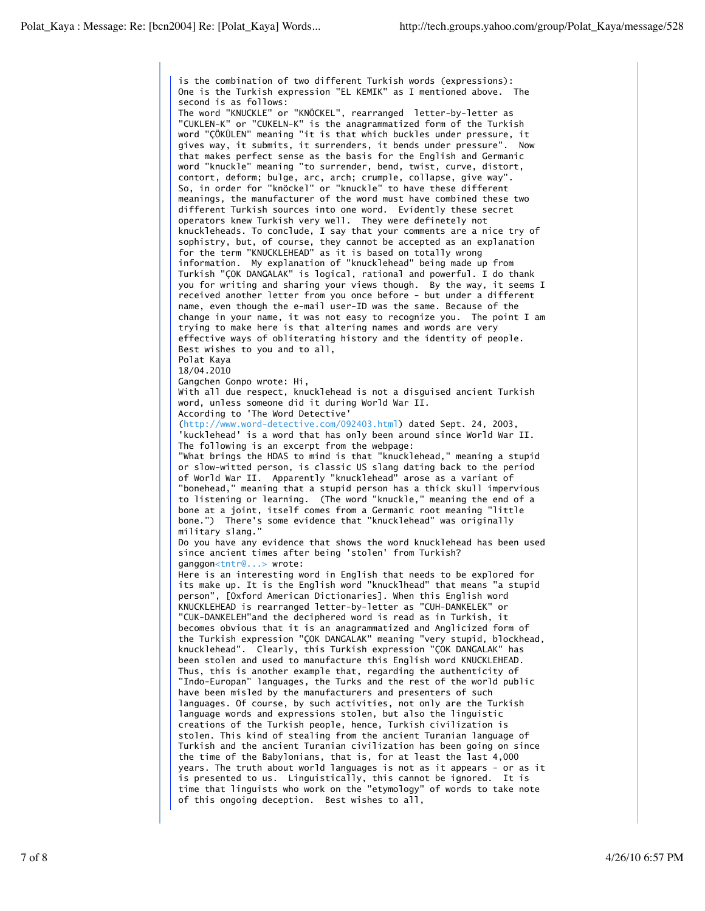is the combination of two different Turkish words (expressions): One is the Turkish expression "EL KEMIK" as I mentioned above. The second is as follows: The word "KNUCKLE" or "KNÖCKEL", rearranged letter-by-letter as "CUKLEN-K" or "CUKELN-K" is the anagrammatized form of the Turkish word "ÇÖKÜLEN" meaning "it is that which buckles under pressure, it gives way, it submits, it surrenders, it bends under pressure". Now that makes perfect sense as the basis for the English and Germanic word "knuckle" meaning "to surrender, bend, twist, curve, distort, contort, deform; bulge, arc, arch; crumple, collapse, give way". So, in order for "knöckel" or "knuckle" to have these different meanings, the manufacturer of the word must have combined these two different Turkish sources into one word. Evidently these secret operators knew Turkish very well. They were definetely not knuckleheads. To conclude, I say that your comments are a nice try of sophistry, but, of course, they cannot be accepted as an explanation for the term "KNUCKLEHEAD" as it is based on totally wrong information. My explanation of "knucklehead" being made up from Turkish "ÇOK DANGALAK" is logical, rational and powerful. I do thank you for writing and sharing your views though. By the way, it seems I received another letter from you once before - but under a different name, even though the e-mail user-ID was the same. Because of the change in your name, it was not easy to recognize you. The point I am trying to make here is that altering names and words are very effective ways of obliterating history and the identity of people. Best wishes to you and to all, Polat Kaya 18/04.2010 Gangchen Gonpo wrote: Hi, With all due respect, knucklehead is not a disguised ancient Turkish word, unless someone did it during World War II. According to 'The Word Detective' (http://www.word-detective.com/092403.html) dated Sept. 24, 2003, 'kucklehead' is a word that has only been around since World War II. The following is an excerpt from the webpage: "What brings the HDAS to mind is that "knucklehead," meaning a stupid or slow-witted person, is classic US slang dating back to the period of World War II. Apparently "knucklehead" arose as a variant of "bonehead," meaning that a stupid person has a thick skull impervious to listening or learning. (The word "knuckle," meaning the end of a bone at a joint, itself comes from a Germanic root meaning "little bone.") There's some evidence that "knucklehead" was originally military slang." Do you have any evidence that shows the word knucklehead has been used since ancient times after being 'stolen' from Turkish? ganggon<tntr@...> wrote: Here is an interesting word in English that needs to be explored for its make up. It is the English word "knucklhead" that means "a stupid person", [Oxford American Dictionaries]. When this English word KNUCKLEHEAD is rearranged letter-by-letter as "CUH-DANKELEK" or "CUK-DANKELEH"and the deciphered word is read as in Turkish, it becomes obvious that it is an anagrammatized and Anglicized form of the Turkish expression "ÇOK DANGALAK" meaning "very stupid, blockhead, knucklehead". Clearly, this Turkish expression "ÇOK DANGALAK" has been stolen and used to manufacture this English word KNUCKLEHEAD. Thus, this is another example that, regarding the authenticity of "Indo-Europan" languages, the Turks and the rest of the world public have been misled by the manufacturers and presenters of such languages. Of course, by such activities, not only are the Turkish language words and expressions stolen, but also the linguistic creations of the Turkish people, hence, Turkish civilization is stolen. This kind of stealing from the ancient Turanian language of Turkish and the ancient Turanian civilization has been going on since the time of the Babylonians, that is, for at least the last 4,000 years. The truth about world languages is not as it appears - or as it is presented to us. Linguistically, this cannot be ignored. It is time that linguists who work on the "etymology" of words to take note of this ongoing deception. Best wishes to all,